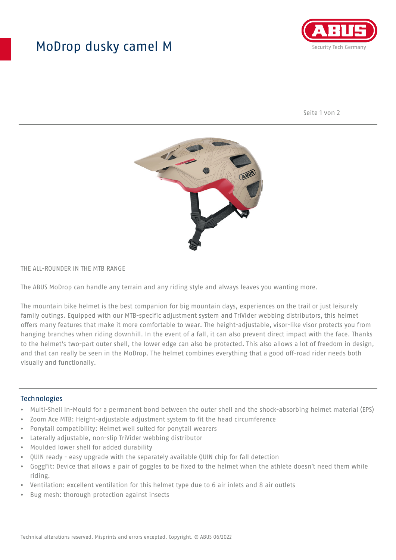## MoDrop dusky camel M



Seite 1 von 2



#### THE ALL-ROUNDER IN THE MTB RANGE

The ABUS MoDrop can handle any terrain and any riding style and always leaves you wanting more.

The mountain bike helmet is the best companion for big mountain days, experiences on the trail or just leisurely family outings. Equipped with our MTB-specific adjustment system and TriVider webbing distributors, this helmet offers many features that make it more comfortable to wear. The height-adjustable, visor-like visor protects you from hanging branches when riding downhill. In the event of a fall, it can also prevent direct impact with the face. Thanks to the helmet's two-part outer shell, the lower edge can also be protected. This also allows a lot of freedom in design, and that can really be seen in the MoDrop. The helmet combines everything that a good off-road rider needs both visually and functionally.

#### **Technologies**

- Multi-Shell In-Mould for a permanent bond between the outer shell and the shock-absorbing helmet material (EPS)
- Zoom Ace MTB: Height-adjustable adjustment system to fit the head circumference
- Ponytail compatibility: Helmet well suited for ponytail wearers
- Laterally adjustable, non-slip TriVider webbing distributor
- Moulded lower shell for added durability
- QUIN ready easy upgrade with the separately available QUIN chip for fall detection
- GoggFit: Device that allows a pair of goggles to be fixed to the helmet when the athlete doesn't need them while riding.
- Ventilation: excellent ventilation for this helmet type due to 6 air inlets and 8 air outlets
- Bug mesh: thorough protection against insects